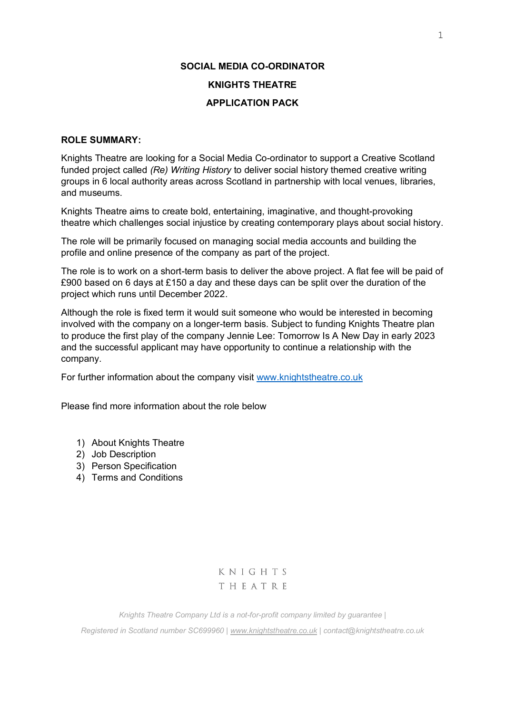# **SOCIAL MEDIA CO-ORDINATOR KNIGHTS THEATRE APPLICATION PACK**

## **ROLE SUMMARY:**

Knights Theatre are looking for a Social Media Co-ordinator to support a Creative Scotland funded project called *(Re) Writing History* to deliver social history themed creative writing groups in 6 local authority areas across Scotland in partnership with local venues, libraries, and museums.

Knights Theatre aims to create bold, entertaining, imaginative, and thought-provoking theatre which challenges social injustice by creating contemporary plays about social history.

The role will be primarily focused on managing social media accounts and building the profile and online presence of the company as part of the project.

The role is to work on a short-term basis to deliver the above project. A flat fee will be paid of £900 based on 6 days at £150 a day and these days can be split over the duration of the project which runs until December 2022.

Although the role is fixed term it would suit someone who would be interested in becoming involved with the company on a longer-term basis. Subject to funding Knights Theatre plan to produce the first play of the company Jennie Lee: Tomorrow Is A New Day in early 2023 and the successful applicant may have opportunity to continue a relationship with the company.

For further information about the company visit [www.knightstheatre.co.uk](http://www.knightstheatre.co.uk/)

Please find more information about the role below

- 1) About Knights Theatre
- 2) Job Description
- 3) Person Specification
- 4) Terms and Conditions

KNIGHTS THEATRE

*Knights Theatre Company Ltd is a not-for-profit company limited by guarantee |*

*Registered in Scotland number SC699960 [| www.knightstheatre.co.uk](http://www.knightstheatre.co.uk/) | contact@knightstheatre.co.uk*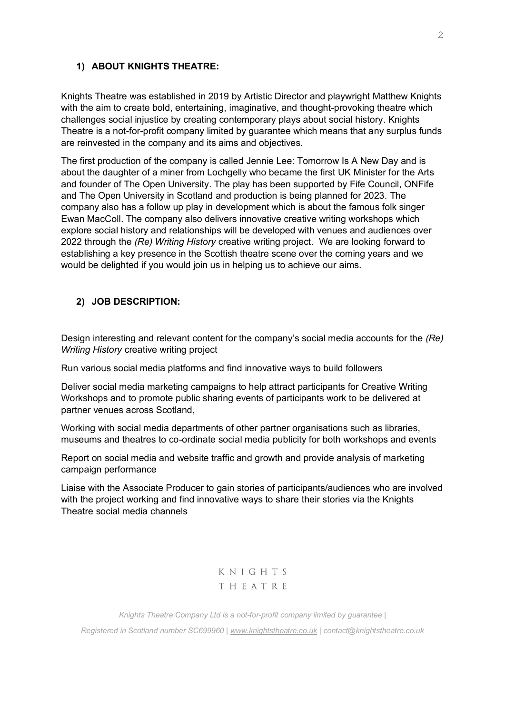#### **1) ABOUT KNIGHTS THEATRE:**

Knights Theatre was established in 2019 by Artistic Director and playwright Matthew Knights with the aim to create bold, entertaining, imaginative, and thought-provoking theatre which challenges social injustice by creating contemporary plays about social history. Knights Theatre is a not-for-profit company limited by guarantee which means that any surplus funds are reinvested in the company and its aims and objectives.

The first production of the company is called Jennie Lee: Tomorrow Is A New Day and is about the daughter of a miner from Lochgelly who became the first UK Minister for the Arts and founder of The Open University. The play has been supported by Fife Council, ONFife and The Open University in Scotland and production is being planned for 2023. The company also has a follow up play in development which is about the famous folk singer Ewan MacColl. The company also delivers innovative creative writing workshops which explore social history and relationships will be developed with venues and audiences over 2022 through the *(Re) Writing History* creative writing project. We are looking forward to establishing a key presence in the Scottish theatre scene over the coming years and we would be delighted if you would join us in helping us to achieve our aims.

### **2) JOB DESCRIPTION:**

Design interesting and relevant content for the company's social media accounts for the *(Re) Writing History* creative writing project

Run various social media platforms and find innovative ways to build followers

Deliver social media marketing campaigns to help attract participants for Creative Writing Workshops and to promote public sharing events of participants work to be delivered at partner venues across Scotland,

Working with social media departments of other partner organisations such as libraries, museums and theatres to co-ordinate social media publicity for both workshops and events

Report on social media and website traffic and growth and provide analysis of marketing campaign performance

Liaise with the Associate Producer to gain stories of participants/audiences who are involved with the project working and find innovative ways to share their stories via the Knights Theatre social media channels

> KNIGHTS THEATRE

*Knights Theatre Company Ltd is a not-for-profit company limited by guarantee | Registered in Scotland number SC699960 [| www.knightstheatre.co.uk](http://www.knightstheatre.co.uk/) | contact@knightstheatre.co.uk*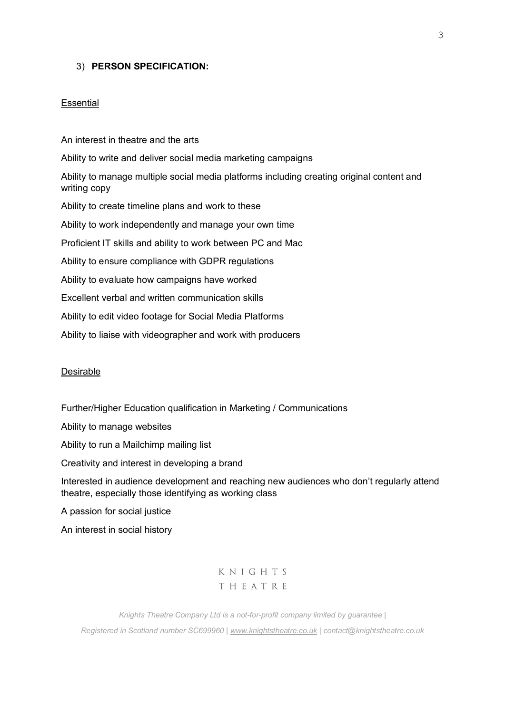#### 3) **PERSON SPECIFICATION:**

#### **Essential**

An interest in theatre and the arts Ability to write and deliver social media marketing campaigns Ability to manage multiple social media platforms including creating original content and writing copy Ability to create timeline plans and work to these Ability to work independently and manage your own time Proficient IT skills and ability to work between PC and Mac Ability to ensure compliance with GDPR regulations Ability to evaluate how campaigns have worked Excellent verbal and written communication skills Ability to edit video footage for Social Media Platforms Ability to liaise with videographer and work with producers

#### Desirable

Further/Higher Education qualification in Marketing / Communications

Ability to manage websites

Ability to run a Mailchimp mailing list

Creativity and interest in developing a brand

Interested in audience development and reaching new audiences who don't regularly attend theatre, especially those identifying as working class

A passion for social justice

An interest in social history

KNIGHTS THEATRE

*Knights Theatre Company Ltd is a not-for-profit company limited by guarantee | Registered in Scotland number SC699960 [| www.knightstheatre.co.uk](http://www.knightstheatre.co.uk/) | contact@knightstheatre.co.uk*